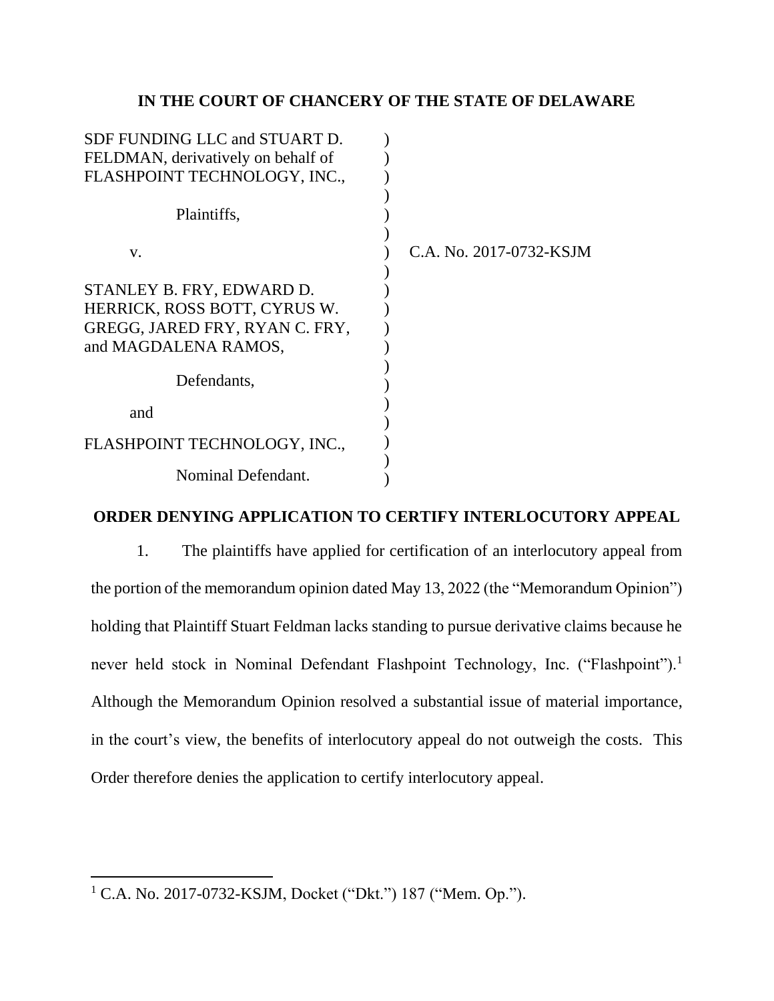## **IN THE COURT OF CHANCERY OF THE STATE OF DELAWARE**

| SDF FUNDING LLC and STUART D.      |                         |
|------------------------------------|-------------------------|
| FELDMAN, derivatively on behalf of |                         |
| FLASHPOINT TECHNOLOGY, INC.,       |                         |
| Plaintiffs,                        |                         |
| V.                                 | C.A. No. 2017-0732-KSJM |
| STANLEY B. FRY, EDWARD D.          |                         |
| HERRICK, ROSS BOTT, CYRUS W.       |                         |
| GREGG, JARED FRY, RYAN C. FRY,     |                         |
| and MAGDALENA RAMOS,               |                         |
|                                    |                         |
| Defendants,                        |                         |
| and                                |                         |
| FLASHPOINT TECHNOLOGY, INC.,       |                         |
| Nominal Defendant.                 |                         |

## **ORDER DENYING APPLICATION TO CERTIFY INTERLOCUTORY APPEAL**

1. The plaintiffs have applied for certification of an interlocutory appeal from the portion of the memorandum opinion dated May 13, 2022 (the "Memorandum Opinion") holding that Plaintiff Stuart Feldman lacks standing to pursue derivative claims because he never held stock in Nominal Defendant Flashpoint Technology, Inc. ("Flashpoint").<sup>1</sup> Although the Memorandum Opinion resolved a substantial issue of material importance, in the court's view, the benefits of interlocutory appeal do not outweigh the costs. This Order therefore denies the application to certify interlocutory appeal.

<sup>1</sup> C.A. No. 2017-0732-KSJM, Docket ("Dkt.") 187 ("Mem. Op.").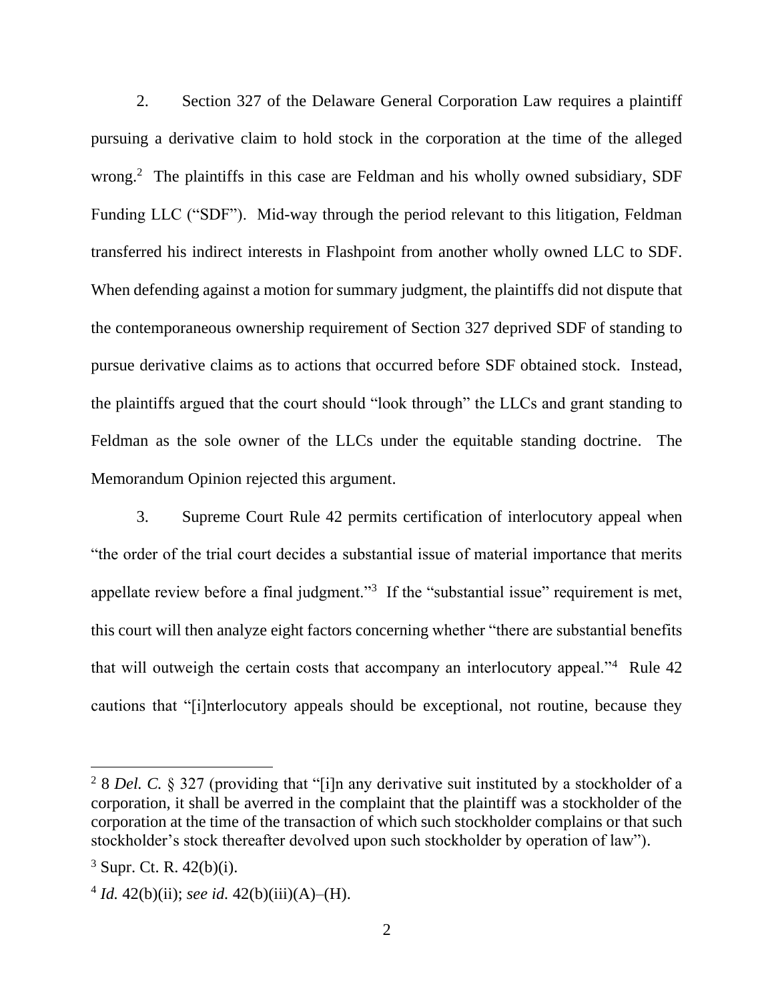2. Section 327 of the Delaware General Corporation Law requires a plaintiff pursuing a derivative claim to hold stock in the corporation at the time of the alleged wrong.<sup>2</sup> The plaintiffs in this case are Feldman and his wholly owned subsidiary, SDF Funding LLC ("SDF"). Mid-way through the period relevant to this litigation, Feldman transferred his indirect interests in Flashpoint from another wholly owned LLC to SDF. When defending against a motion for summary judgment, the plaintiffs did not dispute that the contemporaneous ownership requirement of Section 327 deprived SDF of standing to pursue derivative claims as to actions that occurred before SDF obtained stock. Instead, the plaintiffs argued that the court should "look through" the LLCs and grant standing to Feldman as the sole owner of the LLCs under the equitable standing doctrine. The Memorandum Opinion rejected this argument.

3. Supreme Court Rule 42 permits certification of interlocutory appeal when "the order of the trial court decides a substantial issue of material importance that merits appellate review before a final judgment."<sup>3</sup> If the "substantial issue" requirement is met, this court will then analyze eight factors concerning whether "there are substantial benefits that will outweigh the certain costs that accompany an interlocutory appeal."<sup>4</sup> Rule 42 cautions that "[i]nterlocutory appeals should be exceptional, not routine, because they

<sup>&</sup>lt;sup>2</sup> 8 *Del. C.* § 327 (providing that "[i]n any derivative suit instituted by a stockholder of a corporation, it shall be averred in the complaint that the plaintiff was a stockholder of the corporation at the time of the transaction of which such stockholder complains or that such stockholder's stock thereafter devolved upon such stockholder by operation of law").

 $3$  Supr. Ct. R. 42(b)(i).

 $4 Id. 42(b)(ii)$ ; *see id.*  $42(b)(iii)(A)–(H)$ .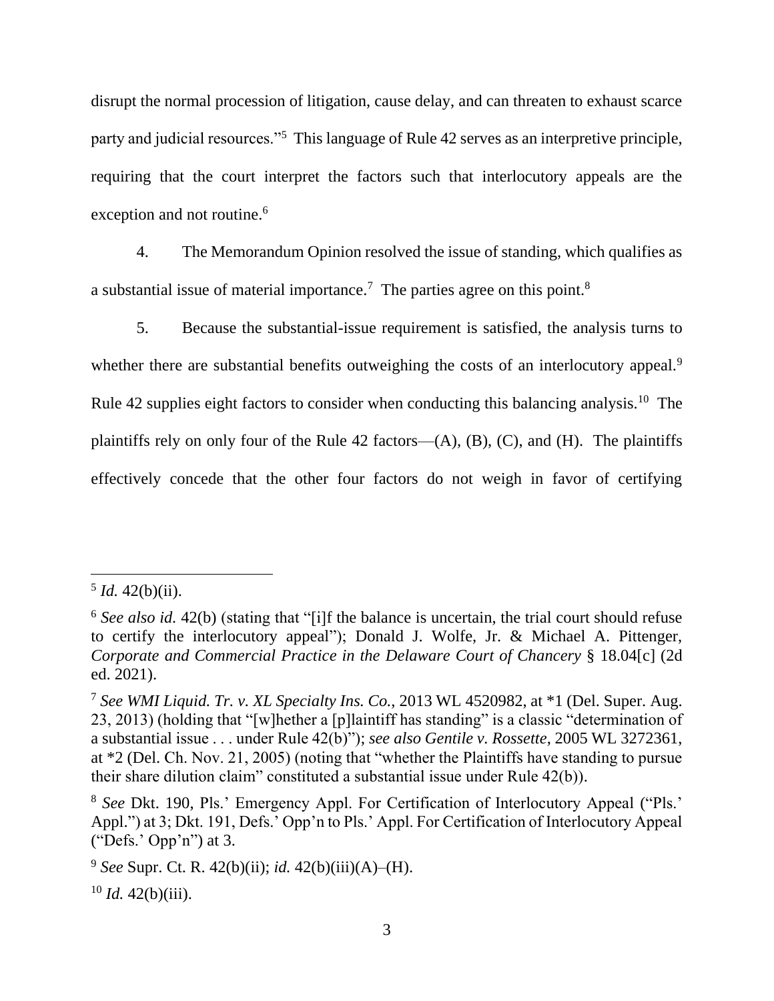disrupt the normal procession of litigation, cause delay, and can threaten to exhaust scarce party and judicial resources."<sup>5</sup> This language of Rule 42 serves as an interpretive principle, requiring that the court interpret the factors such that interlocutory appeals are the exception and not routine. 6

4. The Memorandum Opinion resolved the issue of standing, which qualifies as a substantial issue of material importance.<sup>7</sup> The parties agree on this point.<sup>8</sup>

5. Because the substantial-issue requirement is satisfied, the analysis turns to whether there are substantial benefits outweighing the costs of an interlocutory appeal.<sup>9</sup> Rule 42 supplies eight factors to consider when conducting this balancing analysis.<sup>10</sup> The plaintiffs rely on only four of the Rule 42 factors— $(A)$ ,  $(B)$ ,  $(C)$ , and  $(H)$ . The plaintiffs effectively concede that the other four factors do not weigh in favor of certifying

 $5$  *Id.* 42(b)(ii).

<sup>6</sup> *See also id.* 42(b) (stating that "[i]f the balance is uncertain, the trial court should refuse to certify the interlocutory appeal"); Donald J. Wolfe, Jr. & Michael A. Pittenger, *Corporate and Commercial Practice in the Delaware Court of Chancery* § 18.04[c] (2d ed. 2021).

<sup>7</sup> *See WMI Liquid. Tr. v. XL Specialty Ins. Co.*, 2013 WL 4520982, at \*1 (Del. Super. Aug. 23, 2013) (holding that "[w]hether a [p]laintiff has standing" is a classic "determination of a substantial issue . . . under Rule 42(b)"); *see also Gentile v. Rossette*, 2005 WL 3272361, at \*2 (Del. Ch. Nov. 21, 2005) (noting that "whether the Plaintiffs have standing to pursue their share dilution claim" constituted a substantial issue under Rule 42(b)).

<sup>8</sup> *See* Dkt. 190, Pls.' Emergency Appl. For Certification of Interlocutory Appeal ("Pls.' Appl.") at 3; Dkt. 191, Defs.' Opp'n to Pls.' Appl. For Certification of Interlocutory Appeal ("Defs.' Opp'n") at 3.

<sup>9</sup> *See* Supr. Ct. R. 42(b)(ii); *id.* 42(b)(iii)(A)–(H).

 $10$  *Id.* 42(b)(iii).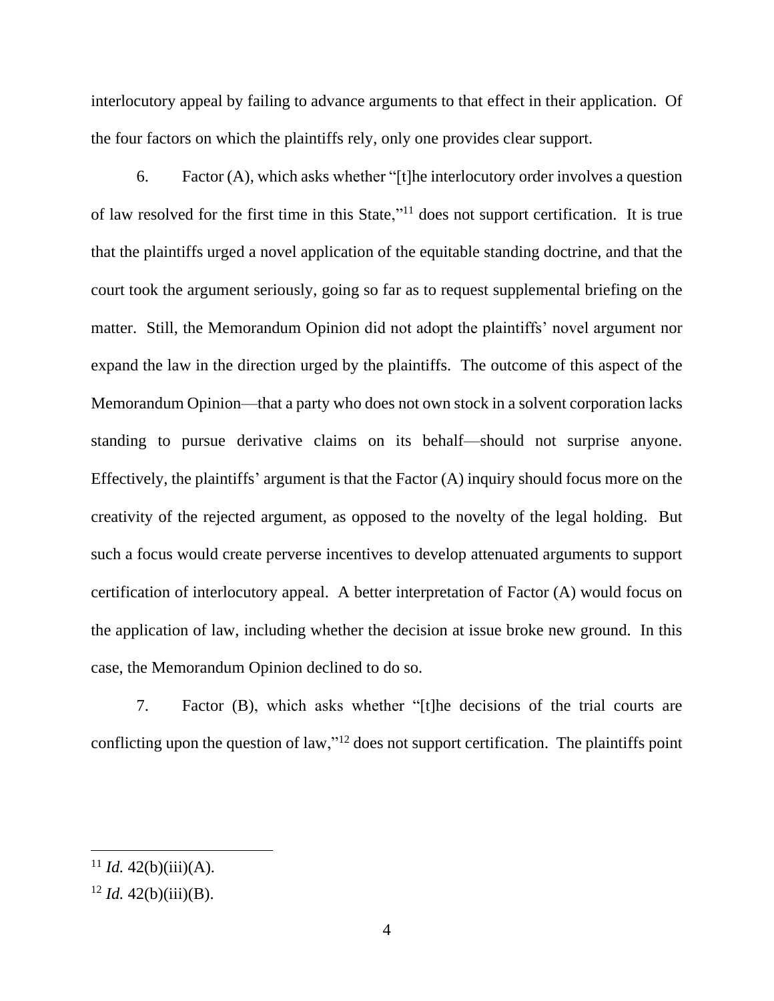interlocutory appeal by failing to advance arguments to that effect in their application. Of the four factors on which the plaintiffs rely, only one provides clear support.

6. Factor (A), which asks whether "[t]he interlocutory order involves a question of law resolved for the first time in this State,"<sup>11</sup> does not support certification. It is true that the plaintiffs urged a novel application of the equitable standing doctrine, and that the court took the argument seriously, going so far as to request supplemental briefing on the matter. Still, the Memorandum Opinion did not adopt the plaintiffs' novel argument nor expand the law in the direction urged by the plaintiffs. The outcome of this aspect of the Memorandum Opinion—that a party who does not own stock in a solvent corporation lacks standing to pursue derivative claims on its behalf—should not surprise anyone. Effectively, the plaintiffs' argument is that the Factor (A) inquiry should focus more on the creativity of the rejected argument, as opposed to the novelty of the legal holding. But such a focus would create perverse incentives to develop attenuated arguments to support certification of interlocutory appeal. A better interpretation of Factor (A) would focus on the application of law, including whether the decision at issue broke new ground. In this case, the Memorandum Opinion declined to do so.

7. Factor (B), which asks whether "[t]he decisions of the trial courts are conflicting upon the question of law,"<sup>12</sup> does not support certification. The plaintiffs point

<sup>&</sup>lt;sup>11</sup> *Id.* 42(b)(iii)(A).

 $12$  *Id.* 42(b)(iii)(B).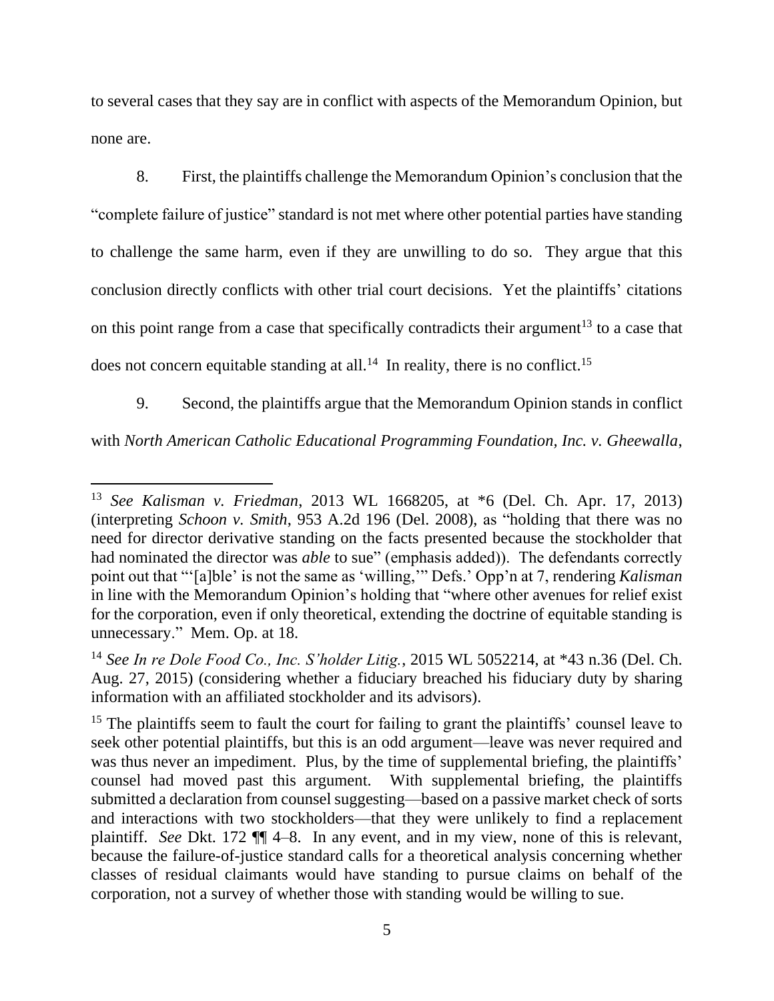to several cases that they say are in conflict with aspects of the Memorandum Opinion, but none are.

8. First, the plaintiffs challenge the Memorandum Opinion's conclusion that the "complete failure of justice" standard is not met where other potential parties have standing to challenge the same harm, even if they are unwilling to do so. They argue that this conclusion directly conflicts with other trial court decisions. Yet the plaintiffs' citations on this point range from a case that specifically contradicts their argument<sup>13</sup> to a case that does not concern equitable standing at all.<sup>14</sup> In reality, there is no conflict.<sup>15</sup>

9. Second, the plaintiffs argue that the Memorandum Opinion stands in conflict

with *North American Catholic Educational Programming Foundation, Inc. v. Gheewalla*,

<sup>13</sup> *See Kalisman v. Friedman*, 2013 WL 1668205, at \*6 (Del. Ch. Apr. 17, 2013) (interpreting *Schoon v. Smith*, 953 A.2d 196 (Del. 2008), as "holding that there was no need for director derivative standing on the facts presented because the stockholder that had nominated the director was *able* to sue" (emphasis added)). The defendants correctly point out that "'[a]ble' is not the same as 'willing,'" Defs.' Opp'n at 7, rendering *Kalisman* in line with the Memorandum Opinion's holding that "where other avenues for relief exist for the corporation, even if only theoretical, extending the doctrine of equitable standing is unnecessary." Mem. Op. at 18.

<sup>14</sup> *See In re Dole Food Co., Inc. S'holder Litig.*, 2015 WL 5052214, at \*43 n.36 (Del. Ch. Aug. 27, 2015) (considering whether a fiduciary breached his fiduciary duty by sharing information with an affiliated stockholder and its advisors).

<sup>&</sup>lt;sup>15</sup> The plaintiffs seem to fault the court for failing to grant the plaintiffs' counsel leave to seek other potential plaintiffs, but this is an odd argument—leave was never required and was thus never an impediment. Plus, by the time of supplemental briefing, the plaintiffs' counsel had moved past this argument. With supplemental briefing, the plaintiffs submitted a declaration from counsel suggesting—based on a passive market check of sorts and interactions with two stockholders—that they were unlikely to find a replacement plaintiff. *See* Dkt. 172 ¶¶ 4–8. In any event, and in my view, none of this is relevant, because the failure-of-justice standard calls for a theoretical analysis concerning whether classes of residual claimants would have standing to pursue claims on behalf of the corporation, not a survey of whether those with standing would be willing to sue.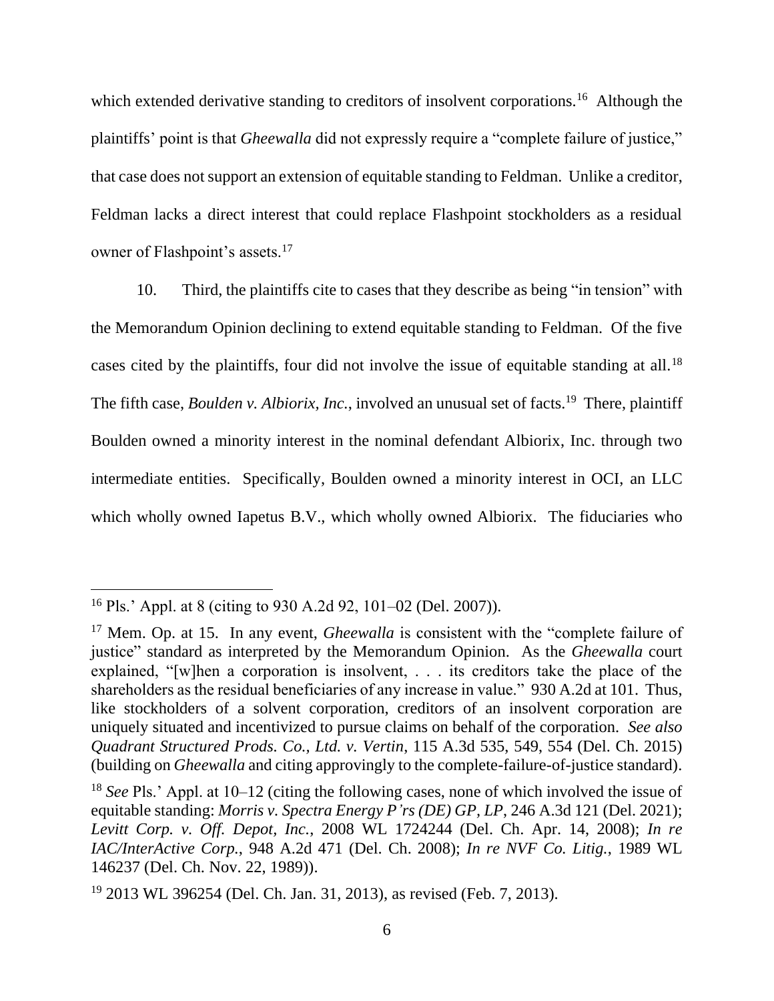which extended derivative standing to creditors of insolvent corporations.<sup>16</sup> Although the plaintiffs' point is that *Gheewalla* did not expressly require a "complete failure of justice," that case does not support an extension of equitable standing to Feldman. Unlike a creditor, Feldman lacks a direct interest that could replace Flashpoint stockholders as a residual owner of Flashpoint's assets.<sup>17</sup>

10. Third, the plaintiffs cite to cases that they describe as being "in tension" with the Memorandum Opinion declining to extend equitable standing to Feldman. Of the five cases cited by the plaintiffs, four did not involve the issue of equitable standing at all.<sup>18</sup> The fifth case, *Boulden v. Albiorix, Inc.*, involved an unusual set of facts.<sup>19</sup> There, plaintiff Boulden owned a minority interest in the nominal defendant Albiorix, Inc. through two intermediate entities. Specifically, Boulden owned a minority interest in OCI, an LLC which wholly owned Iapetus B.V., which wholly owned Albiorix. The fiduciaries who

<sup>16</sup> Pls.' Appl. at 8 (citing to 930 A.2d 92, 101–02 (Del. 2007)).

<sup>&</sup>lt;sup>17</sup> Mem. Op. at 15. In any event, *Gheewalla* is consistent with the "complete failure of justice" standard as interpreted by the Memorandum Opinion. As the *Gheewalla* court explained, "[w]hen a corporation is insolvent, . . . its creditors take the place of the shareholders as the residual beneficiaries of any increase in value." 930 A.2d at 101. Thus, like stockholders of a solvent corporation, creditors of an insolvent corporation are uniquely situated and incentivized to pursue claims on behalf of the corporation. *See also Quadrant Structured Prods. Co., Ltd. v. Vertin*, 115 A.3d 535, 549, 554 (Del. Ch. 2015) (building on *Gheewalla* and citing approvingly to the complete-failure-of-justice standard).

<sup>18</sup> *See* Pls.' Appl. at 10–12 (citing the following cases, none of which involved the issue of equitable standing: *Morris v. Spectra Energy P'rs (DE) GP, LP*, 246 A.3d 121 (Del. 2021); *Levitt Corp. v. Off. Depot, Inc.*, 2008 WL 1724244 (Del. Ch. Apr. 14, 2008); *In re IAC/InterActive Corp.*, 948 A.2d 471 (Del. Ch. 2008); *In re NVF Co. Litig.*, 1989 WL 146237 (Del. Ch. Nov. 22, 1989)).

<sup>19</sup> 2013 WL 396254 (Del. Ch. Jan. 31, 2013), as revised (Feb. 7, 2013).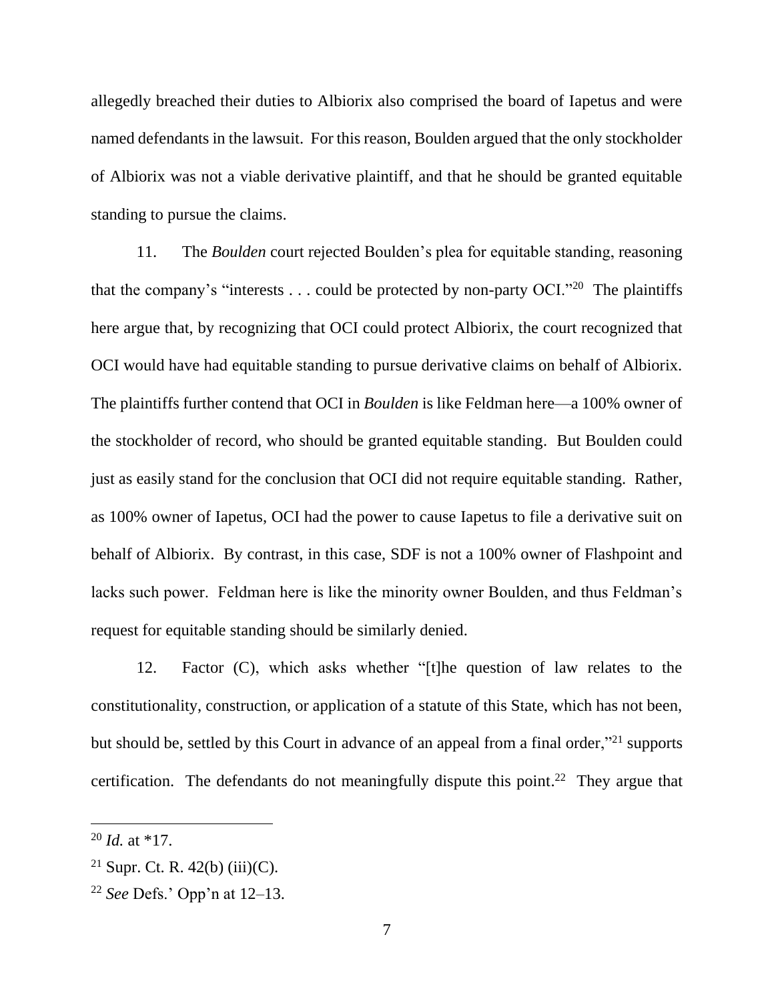allegedly breached their duties to Albiorix also comprised the board of Iapetus and were named defendants in the lawsuit. For this reason, Boulden argued that the only stockholder of Albiorix was not a viable derivative plaintiff, and that he should be granted equitable standing to pursue the claims.

11. The *Boulden* court rejected Boulden's plea for equitable standing, reasoning that the company's "interests  $\dots$  could be protected by non-party OCI."<sup>20</sup> The plaintiffs here argue that, by recognizing that OCI could protect Albiorix, the court recognized that OCI would have had equitable standing to pursue derivative claims on behalf of Albiorix. The plaintiffs further contend that OCI in *Boulden* is like Feldman here—a 100% owner of the stockholder of record, who should be granted equitable standing. But Boulden could just as easily stand for the conclusion that OCI did not require equitable standing. Rather, as 100% owner of Iapetus, OCI had the power to cause Iapetus to file a derivative suit on behalf of Albiorix. By contrast, in this case, SDF is not a 100% owner of Flashpoint and lacks such power. Feldman here is like the minority owner Boulden, and thus Feldman's request for equitable standing should be similarly denied.

12. Factor (C), which asks whether "[t]he question of law relates to the constitutionality, construction, or application of a statute of this State, which has not been, but should be, settled by this Court in advance of an appeal from a final order,"<sup>21</sup> supports certification. The defendants do not meaningfully dispute this point.<sup>22</sup> They argue that

<sup>20</sup> *Id.* at \*17.

<sup>&</sup>lt;sup>21</sup> Supr. Ct. R.  $42(b)$  (iii)(C).

<sup>22</sup> *See* Defs.' Opp'n at 12–13.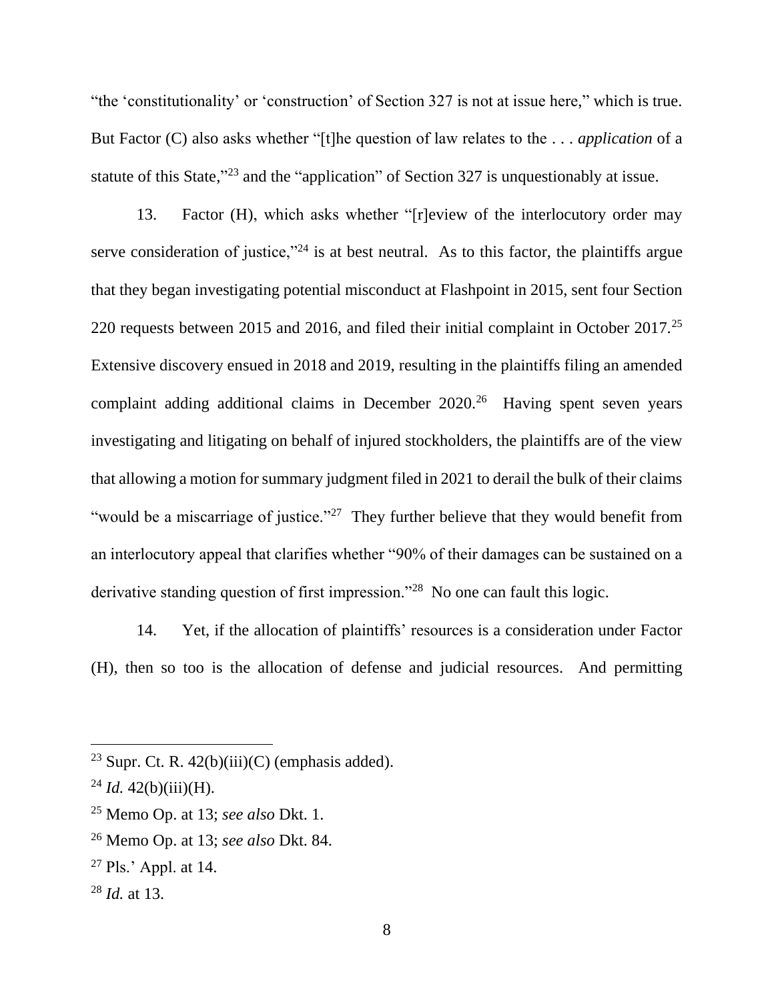"the 'constitutionality' or 'construction' of Section 327 is not at issue here," which is true. But Factor (C) also asks whether "[t]he question of law relates to the . . . *application* of a statute of this State,"<sup>23</sup> and the "application" of Section 327 is unquestionably at issue.

13. Factor (H), which asks whether "[r]eview of the interlocutory order may serve consideration of justice,"<sup>24</sup> is at best neutral. As to this factor, the plaintiffs argue that they began investigating potential misconduct at Flashpoint in 2015, sent four Section 220 requests between 2015 and 2016, and filed their initial complaint in October 2017.<sup>25</sup> Extensive discovery ensued in 2018 and 2019, resulting in the plaintiffs filing an amended complaint adding additional claims in December  $2020$ .<sup>26</sup> Having spent seven years investigating and litigating on behalf of injured stockholders, the plaintiffs are of the view that allowing a motion for summary judgment filed in 2021 to derail the bulk of their claims "would be a miscarriage of justice."<sup>27</sup> They further believe that they would benefit from an interlocutory appeal that clarifies whether "90% of their damages can be sustained on a derivative standing question of first impression."<sup>28</sup> No one can fault this logic.

14. Yet, if the allocation of plaintiffs' resources is a consideration under Factor (H), then so too is the allocation of defense and judicial resources. And permitting

<sup>&</sup>lt;sup>23</sup> Supr. Ct. R.  $42(b)(iii)(C)$  (emphasis added).

 $^{24}$  *Id.* 42(b)(iii)(H).

<sup>25</sup> Memo Op. at 13; *see also* Dkt. 1.

<sup>26</sup> Memo Op. at 13; *see also* Dkt. 84.

 $27$  Pls.' Appl. at 14.

<sup>28</sup> *Id.* at 13.